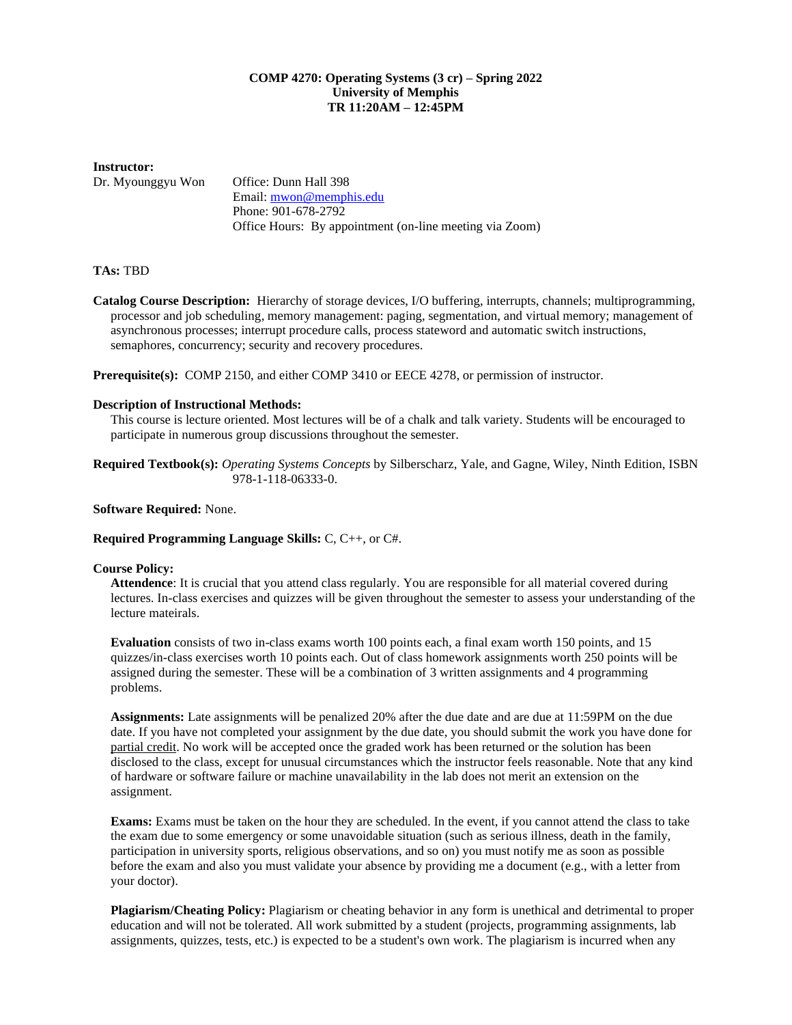## **COMP 4270: Operating Systems (3 cr) – Spring 2022 University of Memphis TR 11:20AM – 12:45PM**

#### **Instructor:**

Dr. Myounggyu Won Office: Dunn Hall 398 Email: [mwon@memphis.edu](mailto:mwon@memphis.edu) Phone: 901-678-2792 Office Hours: By appointment (on-line meeting via Zoom)

# **TAs:** TBD

**Catalog Course Description:** Hierarchy of storage devices, I/O buffering, interrupts, channels; multiprogramming, processor and job scheduling, memory management: paging, segmentation, and virtual memory; management of asynchronous processes; interrupt procedure calls, process stateword and automatic switch instructions, semaphores, concurrency; security and recovery procedures.

**Prerequisite(s):** COMP 2150, and either COMP 3410 or EECE 4278, or permission of instructor.

### **Description of Instructional Methods:**

This course is lecture oriented. Most lectures will be of a chalk and talk variety. Students will be encouraged to participate in numerous group discussions throughout the semester.

**Required Textbook(s):** *Operating Systems Concepts* by Silberscharz, Yale, and Gagne, Wiley, Ninth Edition, ISBN 978-1-118-06333-0.

### **Software Required:** None.

#### **Required Programming Language Skills:** C, C++, or C#.

#### **Course Policy:**

**Attendence**: It is crucial that you attend class regularly. You are responsible for all material covered during lectures. In-class exercises and quizzes will be given throughout the semester to assess your understanding of the lecture mateirals.

**Evaluation** consists of two in-class exams worth 100 points each, a final exam worth 150 points, and 15 quizzes/in-class exercises worth 10 points each. Out of class homework assignments worth 250 points will be assigned during the semester. These will be a combination of 3 written assignments and 4 programming problems.

**Assignments:** Late assignments will be penalized 20% after the due date and are due at 11:59PM on the due date. If you have not completed your assignment by the due date, you should submit the work you have done for partial credit. No work will be accepted once the graded work has been returned or the solution has been disclosed to the class, except for unusual circumstances which the instructor feels reasonable. Note that any kind of hardware or software failure or machine unavailability in the lab does not merit an extension on the assignment.

**Exams:** Exams must be taken on the hour they are scheduled. In the event, if you cannot attend the class to take the exam due to some emergency or some unavoidable situation (such as serious illness, death in the family, participation in university sports, religious observations, and so on) you must notify me as soon as possible before the exam and also you must validate your absence by providing me a document (e.g., with a letter from your doctor).

**Plagiarism/Cheating Policy:** Plagiarism or cheating behavior in any form is unethical and detrimental to proper education and will not be tolerated. All work submitted by a student (projects, programming assignments, lab assignments, quizzes, tests, etc.) is expected to be a student's own work. The plagiarism is incurred when any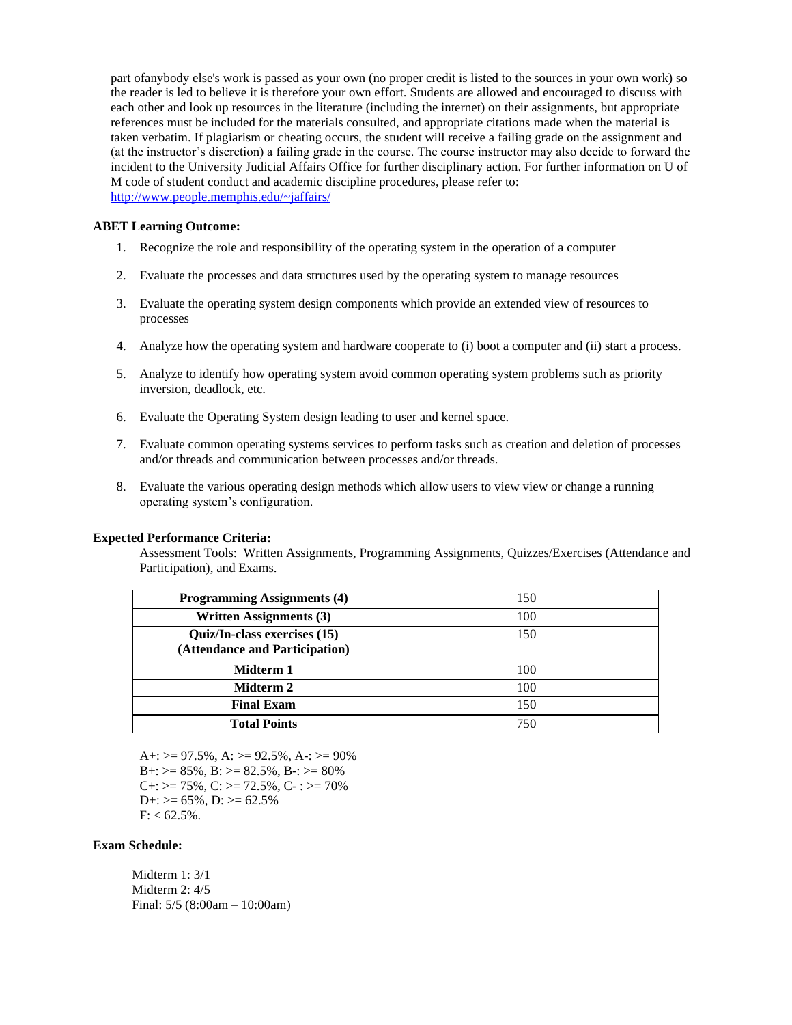part ofanybody else's work is passed as your own (no proper credit is listed to the sources in your own work) so the reader is led to believe it is therefore your own effort. Students are allowed and encouraged to discuss with each other and look up resources in the literature (including the internet) on their assignments, but appropriate references must be included for the materials consulted, and appropriate citations made when the material is taken verbatim. If plagiarism or cheating occurs, the student will receive a failing grade on the assignment and (at the instructor's discretion) a failing grade in the course. The course instructor may also decide to forward the incident to the University Judicial Affairs Office for further disciplinary action. For further information on U of M code of student conduct and academic discipline procedures, please refer to: <http://www.people.memphis.edu/~jaffairs/>

#### **ABET Learning Outcome:**

- 1. Recognize the role and responsibility of the operating system in the operation of a computer
- 2. Evaluate the processes and data structures used by the operating system to manage resources
- 3. Evaluate the operating system design components which provide an extended view of resources to processes
- 4. Analyze how the operating system and hardware cooperate to (i) boot a computer and (ii) start a process.
- 5. Analyze to identify how operating system avoid common operating system problems such as priority inversion, deadlock, etc.
- 6. Evaluate the Operating System design leading to user and kernel space.
- 7. Evaluate common operating systems services to perform tasks such as creation and deletion of processes and/or threads and communication between processes and/or threads.
- 8. Evaluate the various operating design methods which allow users to view view or change a running operating system's configuration.

#### **Expected Performance Criteria:**

Assessment Tools: Written Assignments, Programming Assignments, Quizzes/Exercises (Attendance and Participation), and Exams.

| <b>Programming Assignments (4)</b>                             | 150 |
|----------------------------------------------------------------|-----|
| <b>Written Assignments (3)</b>                                 | 100 |
| Quiz/In-class exercises (15)<br>(Attendance and Participation) | 150 |
| Midterm 1                                                      | 100 |
| Midterm 2                                                      | 100 |
| <b>Final Exam</b>                                              | 150 |
| <b>Total Points</b>                                            | 750 |

 $A+= 97.5\%, A:= 92.5\%, A:= 90\%$  $B_{+}$ :  $> = 85\%$ ,  $B_{\cdot}$ :  $> = 82.5\%$ ,  $B_{-}$ :  $> = 80\%$  $C_{+}$ :  $> = 75\%$ ,  $C_{-}$ :  $> = 72.5\%$ ,  $C_{-}$ :  $> = 70\%$  $D_{+}$ :  $>= 65\%$ ,  $D_{\cdot} \ge 62.5\%$  $F: < 62.5\%$ .

## **Exam Schedule:**

 Midterm 1: 3/1 Midterm 2: 4/5 Final: 5/5 (8:00am – 10:00am)